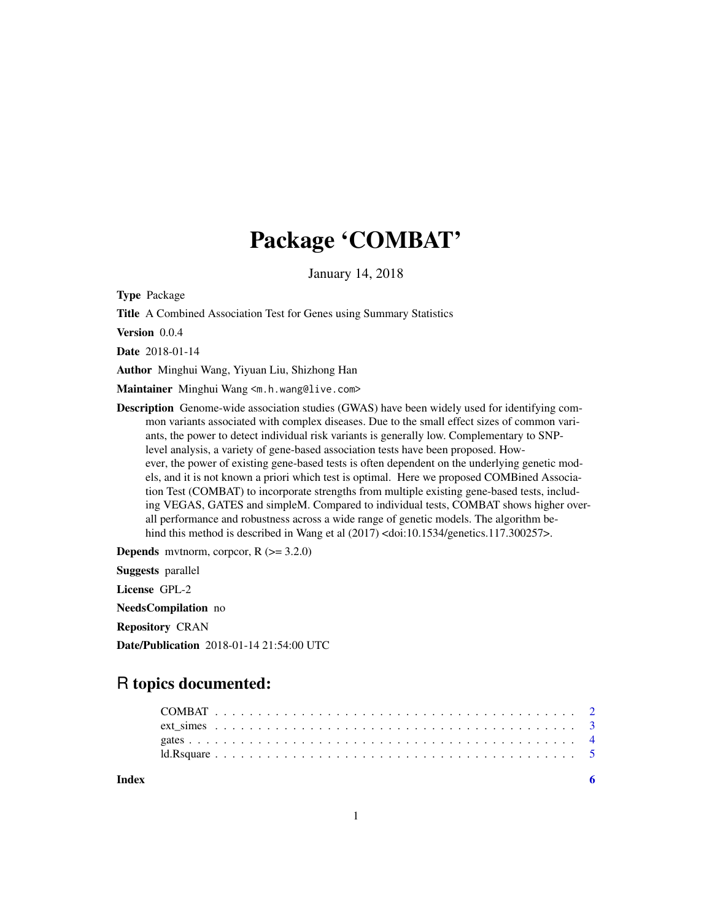# Package 'COMBAT'

January 14, 2018

Type Package

Title A Combined Association Test for Genes using Summary Statistics

Version 0.0.4

Date 2018-01-14

Author Minghui Wang, Yiyuan Liu, Shizhong Han

Maintainer Minghui Wang <m.h.wang@live.com>

Description Genome-wide association studies (GWAS) have been widely used for identifying common variants associated with complex diseases. Due to the small effect sizes of common variants, the power to detect individual risk variants is generally low. Complementary to SNPlevel analysis, a variety of gene-based association tests have been proposed. However, the power of existing gene-based tests is often dependent on the underlying genetic models, and it is not known a priori which test is optimal. Here we proposed COMBined Association Test (COMBAT) to incorporate strengths from multiple existing gene-based tests, including VEGAS, GATES and simpleM. Compared to individual tests, COMBAT shows higher overall performance and robustness across a wide range of genetic models. The algorithm behind this method is described in Wang et al  $(2017)$  <doi:10.1534/genetics.117.300257>.

**Depends** mythorm, corpcor,  $R$  ( $>= 3.2.0$ )

Suggests parallel

License GPL-2

NeedsCompilation no

Repository CRAN

Date/Publication 2018-01-14 21:54:00 UTC

# R topics documented:

**Index** [6](#page-5-0) **6**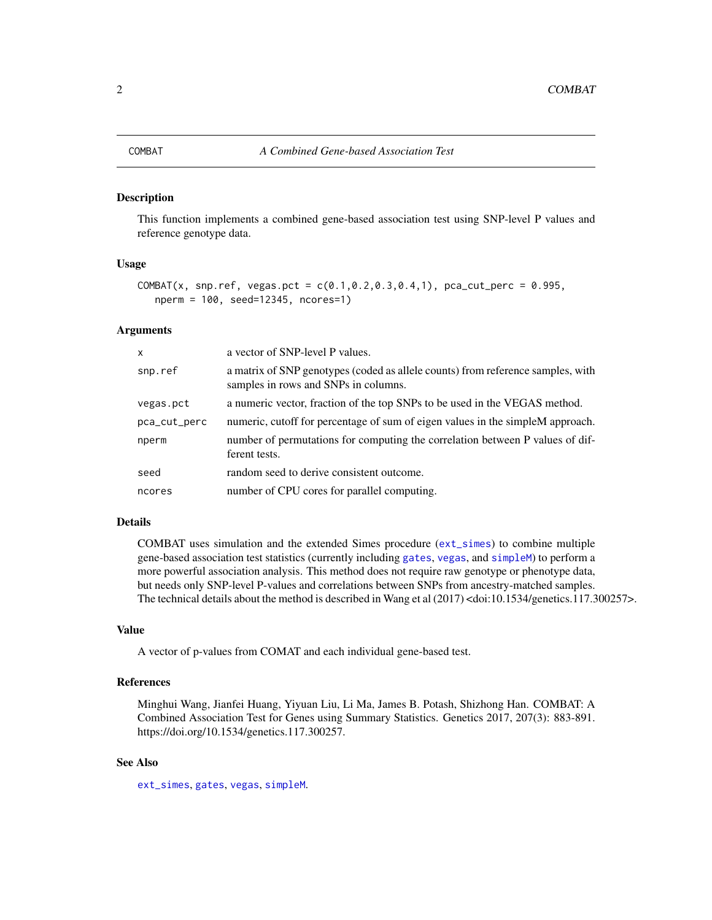#### <span id="page-1-1"></span><span id="page-1-0"></span>Description

This function implements a combined gene-based association test using SNP-level P values and reference genotype data.

#### Usage

```
COMBAT(x, snp.ref, vegas.pct = c(0.1, 0.2, 0.3, 0.4, 1), pca_cut_perc = 0.995,
   nperm = 100, seed=12345, ncores=1)
```
#### Arguments

| $\mathsf{x}$ | a vector of SNP-level P values.                                                                                         |
|--------------|-------------------------------------------------------------------------------------------------------------------------|
| snp.ref      | a matrix of SNP genotypes (coded as allele counts) from reference samples, with<br>samples in rows and SNPs in columns. |
| vegas.pct    | a numeric vector, fraction of the top SNPs to be used in the VEGAS method.                                              |
| pca_cut_perc | numeric, cutoff for percentage of sum of eigen values in the simpleM approach.                                          |
| nperm        | number of permutations for computing the correlation between P values of dif-<br>ferent tests.                          |
| seed         | random seed to derive consistent outcome.                                                                               |
| ncores       | number of CPU cores for parallel computing.                                                                             |

#### Details

COMBAT uses simulation and the extended Simes procedure ([ext\\_simes](#page-2-1)) to combine multiple gene-based association test statistics (currently including [gates](#page-3-1), [vegas](#page-3-2), and [simpleM](#page-3-2)) to perform a more powerful association analysis. This method does not require raw genotype or phenotype data, but needs only SNP-level P-values and correlations between SNPs from ancestry-matched samples. The technical details about the method is described in Wang et al (2017) <doi:10.1534/genetics.117.300257>.

#### Value

A vector of p-values from COMAT and each individual gene-based test.

#### References

Minghui Wang, Jianfei Huang, Yiyuan Liu, Li Ma, James B. Potash, Shizhong Han. COMBAT: A Combined Association Test for Genes using Summary Statistics. Genetics 2017, 207(3): 883-891. https://doi.org/10.1534/genetics.117.300257.

#### See Also

[ext\\_simes](#page-2-1), [gates](#page-3-1), [vegas](#page-3-2), [simpleM](#page-3-2).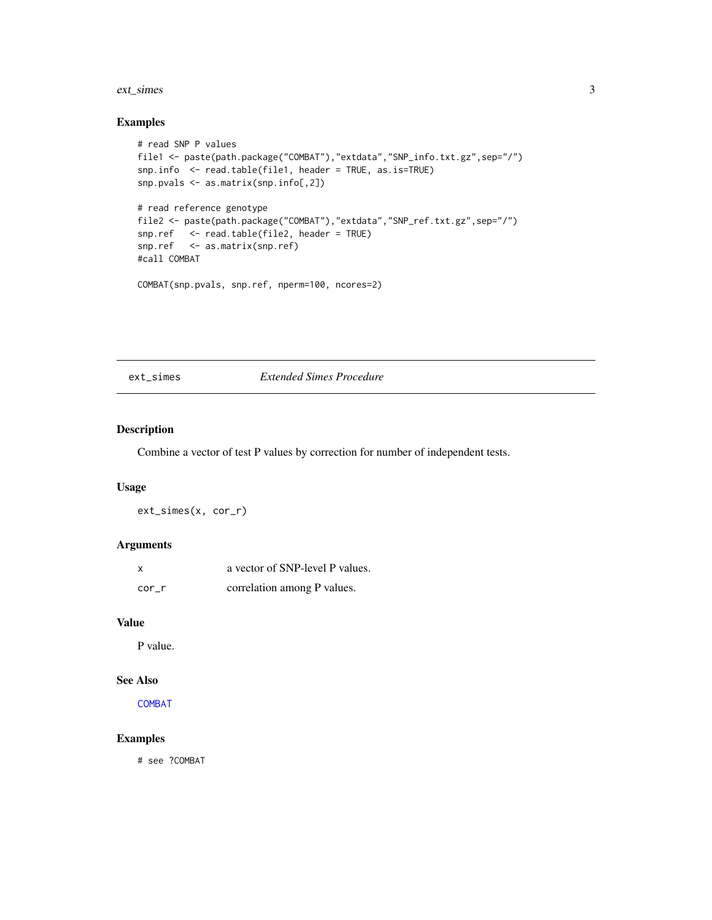#### <span id="page-2-0"></span>ext\_simes 3

#### Examples

```
# read SNP P values
file1 <- paste(path.package("COMBAT"),"extdata","SNP_info.txt.gz",sep="/")
snp.info <- read.table(file1, header = TRUE, as.is=TRUE)
snp.pvals <- as.matrix(snp.info[,2])
# read reference genotype
file2 <- paste(path.package("COMBAT"),"extdata","SNP_ref.txt.gz",sep="/")
snp.ref <- read.table(file2, header = TRUE)
snp.ref <- as.matrix(snp.ref)
#call COMBAT
COMBAT(snp.pvals, snp.ref, nperm=100, ncores=2)
```
#### <span id="page-2-1"></span>ext\_simes *Extended Simes Procedure*

#### Description

Combine a vector of test P values by correction for number of independent tests.

#### Usage

ext\_simes(x, cor\_r)

#### Arguments

| X     | a vector of SNP-level P values. |
|-------|---------------------------------|
| cor r | correlation among P values.     |

#### Value

P value.

#### See Also

[COMBAT](#page-1-1)

#### Examples

# see ?COMBAT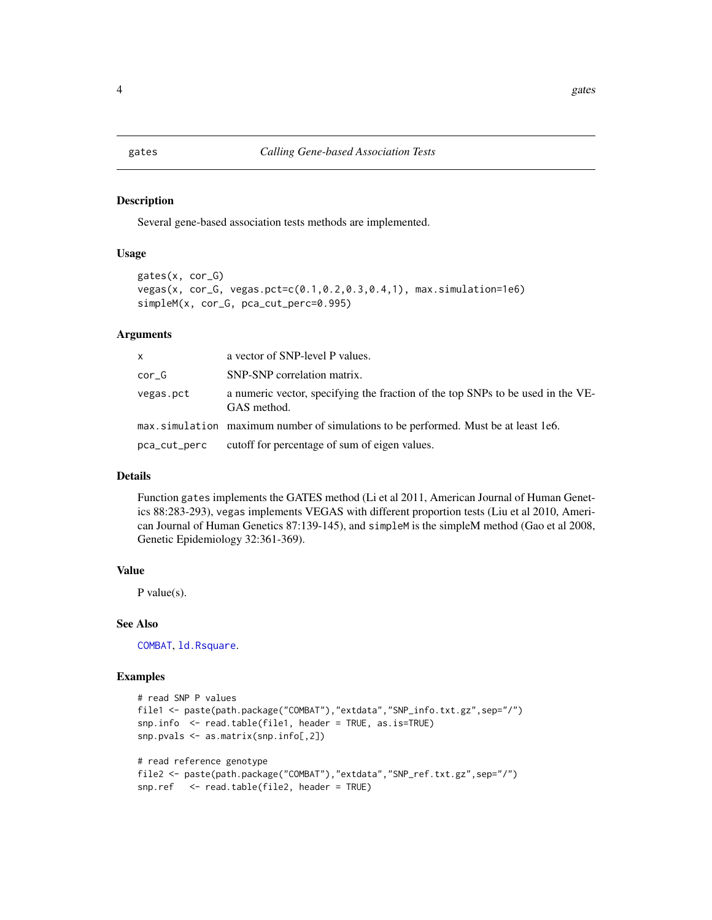<span id="page-3-1"></span><span id="page-3-0"></span>

#### <span id="page-3-2"></span>Description

Several gene-based association tests methods are implemented.

#### Usage

```
gates(x, cor_G)
vegas(x, cor_G, vegas.pct=c(0.1,0.2,0.3,0.4,1), max.simulation=1e6)
simpleM(x, cor_G, pca_cut_perc=0.995)
```
#### Arguments

| x            | a vector of SNP-level P values.                                                                |
|--------------|------------------------------------------------------------------------------------------------|
| cor G        | SNP-SNP correlation matrix.                                                                    |
| vegas.pct    | a numeric vector, specifying the fraction of the top SNPs to be used in the VE-<br>GAS method. |
|              | max.simulation maximum number of simulations to be performed. Must be at least 1e6.            |
| pca_cut_perc | cutoff for percentage of sum of eigen values.                                                  |

#### Details

Function gates implements the GATES method (Li et al 2011, American Journal of Human Genetics 88:283-293), vegas implements VEGAS with different proportion tests (Liu et al 2010, American Journal of Human Genetics 87:139-145), and simpleM is the simpleM method (Gao et al 2008, Genetic Epidemiology 32:361-369).

#### Value

P value(s).

#### See Also

[COMBAT](#page-1-1), [ld.Rsquare](#page-4-1).

#### Examples

```
# read SNP P values
file1 <- paste(path.package("COMBAT"),"extdata","SNP_info.txt.gz",sep="/")
snp.info <- read.table(file1, header = TRUE, as.is=TRUE)
snp.pvals <- as.matrix(snp.info[,2])
# read reference genotype
file2 <- paste(path.package("COMBAT"),"extdata","SNP_ref.txt.gz",sep="/")
snp.ref <- read.table(file2, header = TRUE)
```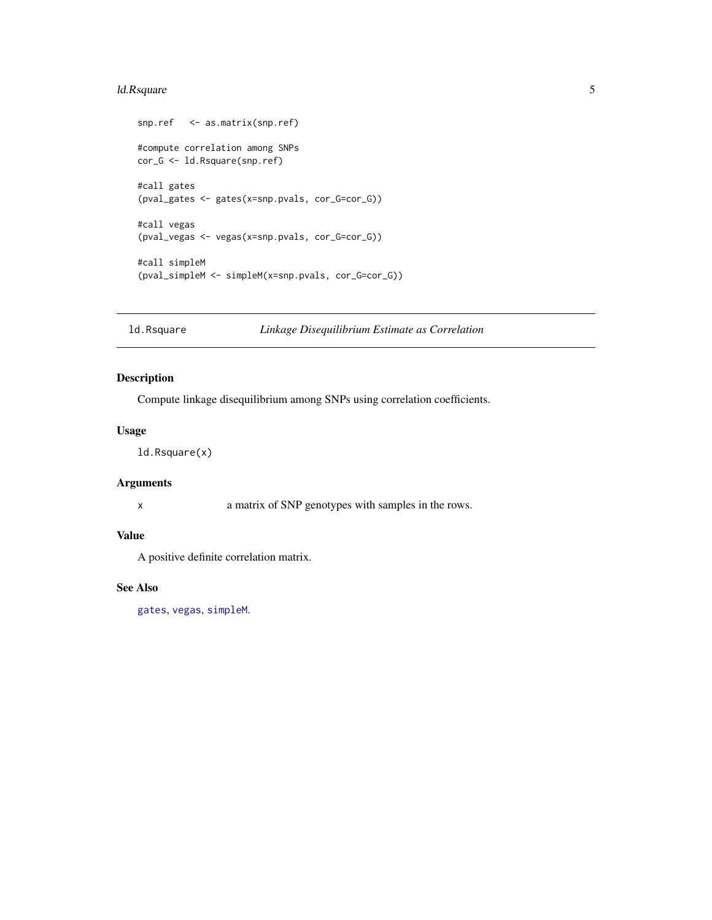## <span id="page-4-0"></span>ld.Rsquare 5

```
snp.ref <- as.matrix(snp.ref)
#compute correlation among SNPs
cor_G <- ld.Rsquare(snp.ref)
#call gates
(pval_gates <- gates(x=snp.pvals, cor_G=cor_G))
#call vegas
(pval_vegas <- vegas(x=snp.pvals, cor_G=cor_G))
#call simpleM
(pval_simpleM <- simpleM(x=snp.pvals, cor_G=cor_G))
```
<span id="page-4-1"></span>ld.Rsquare *Linkage Disequilibrium Estimate as Correlation*

#### Description

Compute linkage disequilibrium among SNPs using correlation coefficients.

#### Usage

ld.Rsquare(x)

#### Arguments

x a matrix of SNP genotypes with samples in the rows.

#### Value

A positive definite correlation matrix.

### See Also

[gates](#page-3-1), [vegas](#page-3-2), [simpleM](#page-3-2).